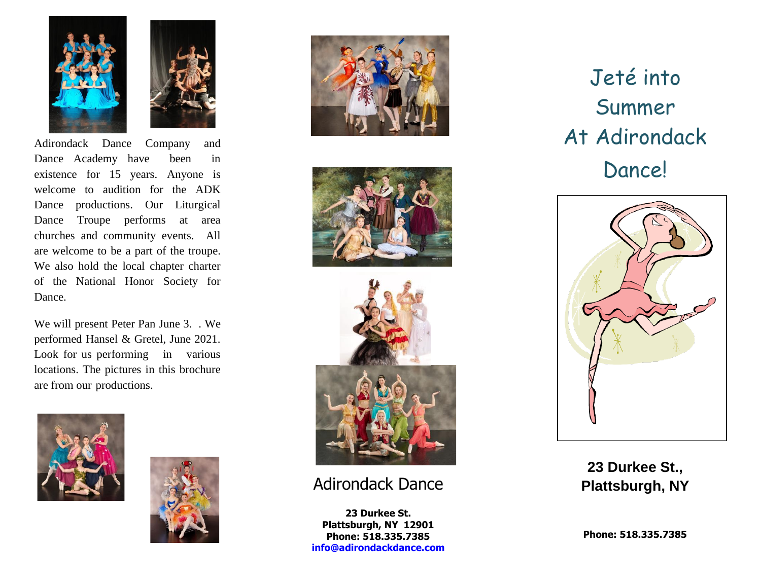



Adirondack Dance Company and Dance Academy have been in existence for 15 years. Anyone is welcome to audition for the ADK Dance productions. Our Liturgical Dance Troupe performs at area churches and community events. All are welcome to be a part of the troupe. We also hold the local chapter charter of the National Honor Society for Dance.

We will present Peter Pan June 3. . We performed Hansel & Gretel, June 2021. Look for us performing in various locations. The pictures in this brochure are from our productions.











## Adirondack Dance

**23 Durkee St. Plattsburgh, NY 12901 Phone: 518.335.7385 [info@adirondackdance.com](mailto:info@adirondackdance.com)**

Jeté into Summer At Adirondack Dance!



**23 Durkee St., Plattsburgh, NY**